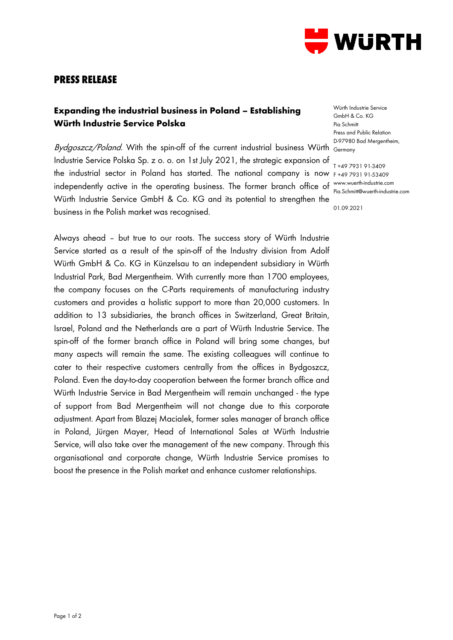

## **PRESS RELEASE**

## **Expanding the industrial business in Poland – Establishing Würth Industrie Service Polska**

Bydgoszcz/Poland. With the spin-off of the current industrial business Würth <sub>Germany</sub> Industrie Service Polska Sp. z o. o. on 1st July 2021, the strategic expansion of the industrial sector in Poland has started. The national company is now F +49 7931 91-53409 independently active in the operating business. The former branch office of Würth Industrie Service GmbH & Co. KG and its potential to strengthen the business in the Polish market was recognised.

Always ahead – but true to our roots. The success story of Würth Industrie Service started as a result of the spin-off of the Industry division from Adolf Würth GmbH & Co. KG in Künzelsau to an independent subsidiary in Würth Industrial Park, Bad Mergentheim. With currently more than 1700 employees, the company focuses on the C-Parts requirements of manufacturing industry customers and provides a holistic support to more than 20,000 customers. In addition to 13 subsidiaries, the branch offices in Switzerland, Great Britain, Israel, Poland and the Netherlands are a part of Würth Industrie Service. The spin-off of the former branch office in Poland will bring some changes, but many aspects will remain the same. The existing colleagues will continue to cater to their respective customers centrally from the offices in Bydgoszcz, Poland. Even the day-to-day cooperation between the former branch office and Würth Industrie Service in Bad Mergentheim will remain unchanged - the type of support from Bad Mergentheim will not change due to this corporate adjustment. Apart from Blazej Macialek, former sales manager of branch office in Poland, Jürgen Mayer, Head of International Sales at Würth Industrie Service, will also take over the management of the new company. Through this organisational and corporate change, Würth Industrie Service promises to boost the presence in the Polish market and enhance customer relationships.

Würth Industrie Service GmbH & Co. KG Pia Schmitt Press and Public Relation D-97980 Bad Mergentheim,

T +49 7931 91-3409 www.wuerth-industrie.com Pia.Schmitt@wuerth-industrie.com

01.09.2021